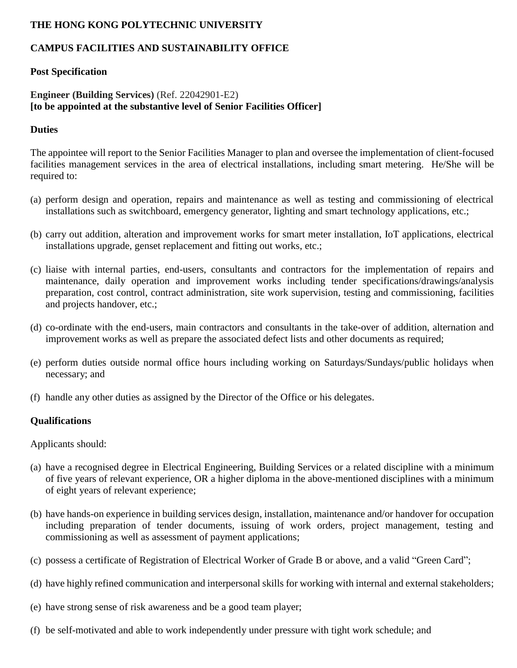# **THE HONG KONG POLYTECHNIC UNIVERSITY**

# **CAMPUS FACILITIES AND SUSTAINABILITY OFFICE**

### **Post Specification**

### **Engineer (Building Services)** (Ref. 22042901-E2) **[to be appointed at the substantive level of Senior Facilities Officer]**

#### **Duties**

The appointee will report to the Senior Facilities Manager to plan and oversee the implementation of client-focused facilities management services in the area of electrical installations, including smart metering. He/She will be required to:

- (a) perform design and operation, repairs and maintenance as well as testing and commissioning of electrical installations such as switchboard, emergency generator, lighting and smart technology applications, etc.;
- (b) carry out addition, alteration and improvement works for smart meter installation, IoT applications, electrical installations upgrade, genset replacement and fitting out works, etc.;
- (c) liaise with internal parties, end-users, consultants and contractors for the implementation of repairs and maintenance, daily operation and improvement works including tender specifications/drawings/analysis preparation, cost control, contract administration, site work supervision, testing and commissioning, facilities and projects handover, etc.;
- (d) co-ordinate with the end-users, main contractors and consultants in the take-over of addition, alternation and improvement works as well as prepare the associated defect lists and other documents as required;
- (e) perform duties outside normal office hours including working on Saturdays/Sundays/public holidays when necessary; and
- (f) handle any other duties as assigned by the Director of the Office or his delegates.

### **Qualifications**

Applicants should:

- (a) have a recognised degree in Electrical Engineering, Building Services or a related discipline with a minimum of five years of relevant experience, OR a higher diploma in the above-mentioned disciplines with a minimum of eight years of relevant experience;
- (b) have hands-on experience in building services design, installation, maintenance and/or handover for occupation including preparation of tender documents, issuing of work orders, project management, testing and commissioning as well as assessment of payment applications;
- (c) possess a certificate of Registration of Electrical Worker of Grade B or above, and a valid "Green Card";
- (d) have highly refined communication and interpersonal skills for working with internal and external stakeholders;
- (e) have strong sense of risk awareness and be a good team player;
- (f) be self-motivated and able to work independently under pressure with tight work schedule; and